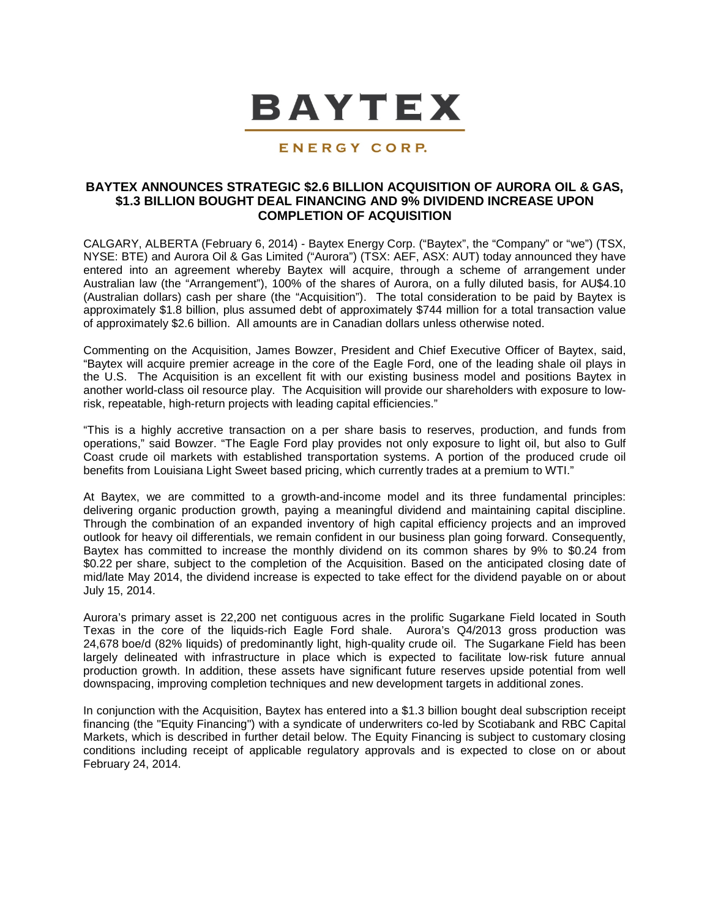

# **ENERGY CORP.**

## **BAYTEX ANNOUNCES STRATEGIC \$2.6 BILLION ACQUISITION OF AURORA OIL & GAS, \$1.3 BILLION BOUGHT DEAL FINANCING AND 9% DIVIDEND INCREASE UPON COMPLETION OF ACQUISITION**

CALGARY, ALBERTA (February 6, 2014) - Baytex Energy Corp. ("Baytex", the "Company" or "we") (TSX, NYSE: BTE) and Aurora Oil & Gas Limited ("Aurora") (TSX: AEF, ASX: AUT) today announced they have entered into an agreement whereby Baytex will acquire, through a scheme of arrangement under Australian law (the "Arrangement"), 100% of the shares of Aurora, on a fully diluted basis, for AU\$4.10 (Australian dollars) cash per share (the "Acquisition"). The total consideration to be paid by Baytex is approximately \$1.8 billion, plus assumed debt of approximately \$744 million for a total transaction value of approximately \$2.6 billion. All amounts are in Canadian dollars unless otherwise noted.

Commenting on the Acquisition, James Bowzer, President and Chief Executive Officer of Baytex, said, "Baytex will acquire premier acreage in the core of the Eagle Ford, one of the leading shale oil plays in the U.S. The Acquisition is an excellent fit with our existing business model and positions Baytex in another world-class oil resource play. The Acquisition will provide our shareholders with exposure to lowrisk, repeatable, high-return projects with leading capital efficiencies."

"This is a highly accretive transaction on a per share basis to reserves, production, and funds from operations," said Bowzer. "The Eagle Ford play provides not only exposure to light oil, but also to Gulf Coast crude oil markets with established transportation systems. A portion of the produced crude oil benefits from Louisiana Light Sweet based pricing, which currently trades at a premium to WTI."

At Baytex, we are committed to a growth-and-income model and its three fundamental principles: delivering organic production growth, paying a meaningful dividend and maintaining capital discipline. Through the combination of an expanded inventory of high capital efficiency projects and an improved outlook for heavy oil differentials, we remain confident in our business plan going forward. Consequently, Baytex has committed to increase the monthly dividend on its common shares by 9% to \$0.24 from \$0.22 per share, subject to the completion of the Acquisition. Based on the anticipated closing date of mid/late May 2014, the dividend increase is expected to take effect for the dividend payable on or about July 15, 2014.

Aurora's primary asset is 22,200 net contiguous acres in the prolific Sugarkane Field located in South Texas in the core of the liquids-rich Eagle Ford shale. Aurora's Q4/2013 gross production was 24,678 boe/d (82% liquids) of predominantly light, high-quality crude oil. The Sugarkane Field has been largely delineated with infrastructure in place which is expected to facilitate low-risk future annual production growth. In addition, these assets have significant future reserves upside potential from well downspacing, improving completion techniques and new development targets in additional zones.

In conjunction with the Acquisition, Baytex has entered into a \$1.3 billion bought deal subscription receipt financing (the "Equity Financing") with a syndicate of underwriters co-led by Scotiabank and RBC Capital Markets, which is described in further detail below. The Equity Financing is subject to customary closing conditions including receipt of applicable regulatory approvals and is expected to close on or about February 24, 2014.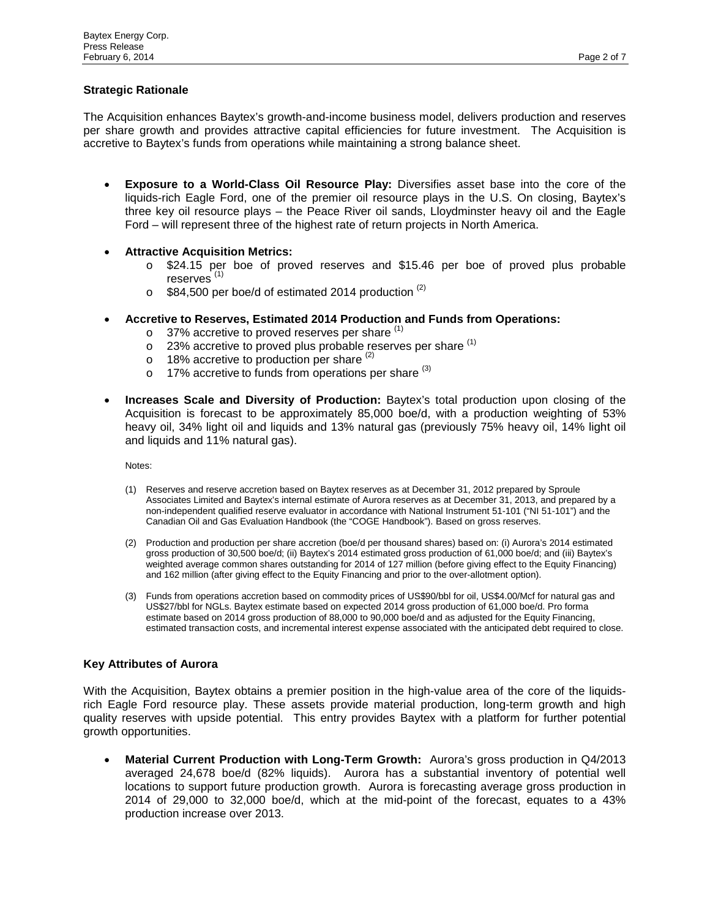## **Strategic Rationale**

The Acquisition enhances Baytex's growth-and-income business model, delivers production and reserves per share growth and provides attractive capital efficiencies for future investment. The Acquisition is accretive to Baytex's funds from operations while maintaining a strong balance sheet.

- **Exposure to a World-Class Oil Resource Play:** Diversifies asset base into the core of the liquids-rich Eagle Ford, one of the premier oil resource plays in the U.S. On closing, Baytex's three key oil resource plays – the Peace River oil sands, Lloydminster heavy oil and the Eagle Ford – will represent three of the highest rate of return projects in North America.
- **Attractive Acquisition Metrics:**
	- o \$24.15 per boe of proved reserves and \$15.46 per boe of proved plus probable reserves (1)
	- $\circ$  \$84,500 per boe/d of estimated 2014 production  $(2)$
- **Accretive to Reserves, Estimated 2014 Production and Funds from Operations:**
	- $\circ$  37% accretive to proved reserves per share  $(1)$
	- $\circ$  23% accretive to proved plus probable reserves per share  $(1)$
	- $\circ$  18% accretive to production per share  $(2)$
	- $\circ$  17% accretive to funds from operations per share  $^{(3)}$
- **Increases Scale and Diversity of Production:** Baytex's total production upon closing of the Acquisition is forecast to be approximately 85,000 boe/d, with a production weighting of 53% heavy oil, 34% light oil and liquids and 13% natural gas (previously 75% heavy oil, 14% light oil and liquids and 11% natural gas).

Notes:

- (1) Reserves and reserve accretion based on Baytex reserves as at December 31, 2012 prepared by Sproule Associates Limited and Baytex's internal estimate of Aurora reserves as at December 31, 2013, and prepared by a non-independent qualified reserve evaluator in accordance with National Instrument 51-101 ("NI 51-101") and the Canadian Oil and Gas Evaluation Handbook (the "COGE Handbook"). Based on gross reserves.
- (2) Production and production per share accretion (boe/d per thousand shares) based on: (i) Aurora's 2014 estimated gross production of 30,500 boe/d; (ii) Baytex's 2014 estimated gross production of 61,000 boe/d; and (iii) Baytex's weighted average common shares outstanding for 2014 of 127 million (before giving effect to the Equity Financing) and 162 million (after giving effect to the Equity Financing and prior to the over-allotment option).
- (3) Funds from operations accretion based on commodity prices of US\$90/bbl for oil, US\$4.00/Mcf for natural gas and US\$27/bbl for NGLs. Baytex estimate based on expected 2014 gross production of 61,000 boe/d. Pro forma estimate based on 2014 gross production of 88,000 to 90,000 boe/d and as adjusted for the Equity Financing, estimated transaction costs, and incremental interest expense associated with the anticipated debt required to close.

## **Key Attributes of Aurora**

With the Acquisition, Baytex obtains a premier position in the high-value area of the core of the liquidsrich Eagle Ford resource play. These assets provide material production, long-term growth and high quality reserves with upside potential. This entry provides Baytex with a platform for further potential growth opportunities.

• **Material Current Production with Long-Term Growth:** Aurora's gross production in Q4/2013 averaged 24,678 boe/d (82% liquids). Aurora has a substantial inventory of potential well locations to support future production growth. Aurora is forecasting average gross production in 2014 of 29,000 to 32,000 boe/d, which at the mid-point of the forecast, equates to a 43% production increase over 2013.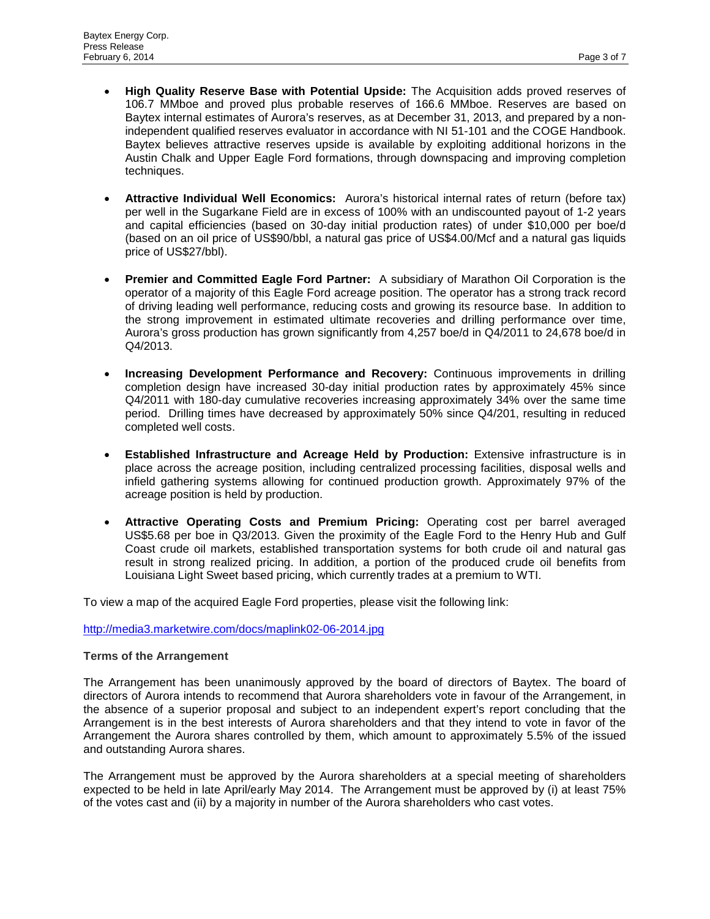- **High Quality Reserve Base with Potential Upside:** The Acquisition adds proved reserves of 106.7 MMboe and proved plus probable reserves of 166.6 MMboe. Reserves are based on Baytex internal estimates of Aurora's reserves, as at December 31, 2013, and prepared by a nonindependent qualified reserves evaluator in accordance with NI 51-101 and the COGE Handbook. Baytex believes attractive reserves upside is available by exploiting additional horizons in the Austin Chalk and Upper Eagle Ford formations, through downspacing and improving completion techniques.
- **Attractive Individual Well Economics:** Aurora's historical internal rates of return (before tax) per well in the Sugarkane Field are in excess of 100% with an undiscounted payout of 1-2 years and capital efficiencies (based on 30-day initial production rates) of under \$10,000 per boe/d (based on an oil price of US\$90/bbl, a natural gas price of US\$4.00/Mcf and a natural gas liquids price of US\$27/bbl).
- **Premier and Committed Eagle Ford Partner:** A subsidiary of Marathon Oil Corporation is the operator of a majority of this Eagle Ford acreage position. The operator has a strong track record of driving leading well performance, reducing costs and growing its resource base. In addition to the strong improvement in estimated ultimate recoveries and drilling performance over time, Aurora's gross production has grown significantly from 4,257 boe/d in Q4/2011 to 24,678 boe/d in Q4/2013.
- **Increasing Development Performance and Recovery:** Continuous improvements in drilling completion design have increased 30-day initial production rates by approximately 45% since Q4/2011 with 180-day cumulative recoveries increasing approximately 34% over the same time period. Drilling times have decreased by approximately 50% since Q4/201, resulting in reduced completed well costs.
- **Established Infrastructure and Acreage Held by Production:** Extensive infrastructure is in place across the acreage position, including centralized processing facilities, disposal wells and infield gathering systems allowing for continued production growth. Approximately 97% of the acreage position is held by production.
- **Attractive Operating Costs and Premium Pricing:** Operating cost per barrel averaged US\$5.68 per boe in Q3/2013. Given the proximity of the Eagle Ford to the Henry Hub and Gulf Coast crude oil markets, established transportation systems for both crude oil and natural gas result in strong realized pricing. In addition, a portion of the produced crude oil benefits from Louisiana Light Sweet based pricing, which currently trades at a premium to WTI.

To view a map of the acquired Eagle Ford properties, please visit the following link:

## <http://media3.marketwire.com/docs/maplink02-06-2014.jpg>

## **Terms of the Arrangement**

The Arrangement has been unanimously approved by the board of directors of Baytex. The board of directors of Aurora intends to recommend that Aurora shareholders vote in favour of the Arrangement, in the absence of a superior proposal and subject to an independent expert's report concluding that the Arrangement is in the best interests of Aurora shareholders and that they intend to vote in favor of the Arrangement the Aurora shares controlled by them, which amount to approximately 5.5% of the issued and outstanding Aurora shares.

The Arrangement must be approved by the Aurora shareholders at a special meeting of shareholders expected to be held in late April/early May 2014. The Arrangement must be approved by (i) at least 75% of the votes cast and (ii) by a majority in number of the Aurora shareholders who cast votes.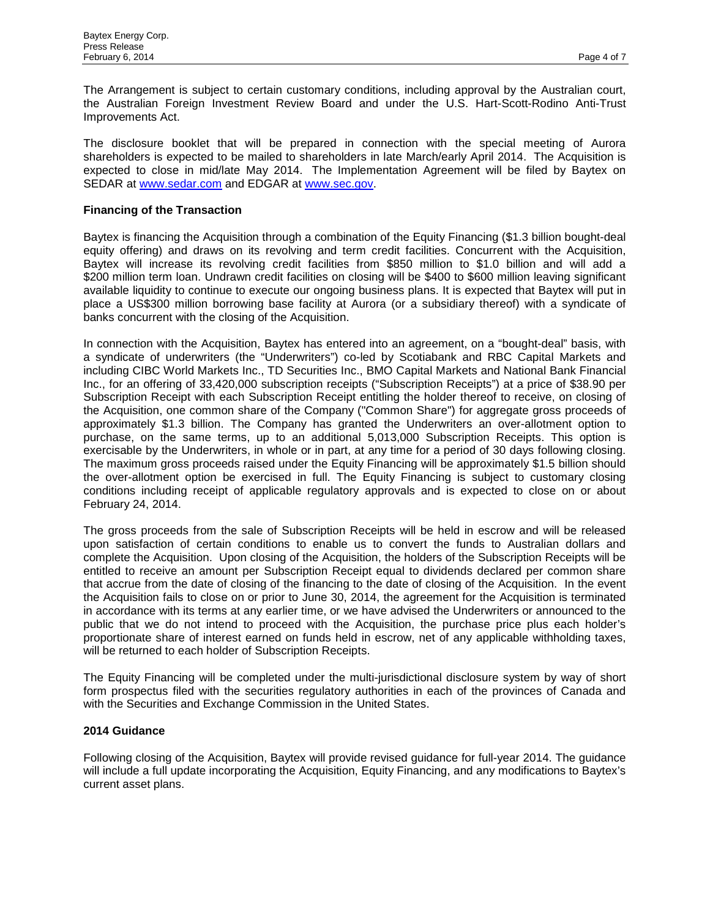The Arrangement is subject to certain customary conditions, including approval by the Australian court, the Australian Foreign Investment Review Board and under the U.S. Hart-Scott-Rodino Anti-Trust Improvements Act.

The disclosure booklet that will be prepared in connection with the special meeting of Aurora shareholders is expected to be mailed to shareholders in late March/early April 2014. The Acquisition is expected to close in mid/late May 2014. The Implementation Agreement will be filed by Baytex on SEDAR at [www.sedar.com](http://www.sedar.com/) and EDGAR at [www.sec.gov.](http://www.sec.gov/)

## **Financing of the Transaction**

Baytex is financing the Acquisition through a combination of the Equity Financing (\$1.3 billion bought-deal equity offering) and draws on its revolving and term credit facilities. Concurrent with the Acquisition, Baytex will increase its revolving credit facilities from \$850 million to \$1.0 billion and will add a \$200 million term loan. Undrawn credit facilities on closing will be \$400 to \$600 million leaving significant available liquidity to continue to execute our ongoing business plans. It is expected that Baytex will put in place a US\$300 million borrowing base facility at Aurora (or a subsidiary thereof) with a syndicate of banks concurrent with the closing of the Acquisition.

In connection with the Acquisition, Baytex has entered into an agreement, on a "bought-deal" basis, with a syndicate of underwriters (the "Underwriters") co-led by Scotiabank and RBC Capital Markets and including CIBC World Markets Inc., TD Securities Inc., BMO Capital Markets and National Bank Financial Inc., for an offering of 33,420,000 subscription receipts ("Subscription Receipts") at a price of \$38.90 per Subscription Receipt with each Subscription Receipt entitling the holder thereof to receive, on closing of the Acquisition, one common share of the Company ("Common Share") for aggregate gross proceeds of approximately \$1.3 billion. The Company has granted the Underwriters an over-allotment option to purchase, on the same terms, up to an additional 5,013,000 Subscription Receipts. This option is exercisable by the Underwriters, in whole or in part, at any time for a period of 30 days following closing. The maximum gross proceeds raised under the Equity Financing will be approximately \$1.5 billion should the over-allotment option be exercised in full. The Equity Financing is subject to customary closing conditions including receipt of applicable regulatory approvals and is expected to close on or about February 24, 2014.

The gross proceeds from the sale of Subscription Receipts will be held in escrow and will be released upon satisfaction of certain conditions to enable us to convert the funds to Australian dollars and complete the Acquisition. Upon closing of the Acquisition, the holders of the Subscription Receipts will be entitled to receive an amount per Subscription Receipt equal to dividends declared per common share that accrue from the date of closing of the financing to the date of closing of the Acquisition. In the event the Acquisition fails to close on or prior to June 30, 2014, the agreement for the Acquisition is terminated in accordance with its terms at any earlier time, or we have advised the Underwriters or announced to the public that we do not intend to proceed with the Acquisition, the purchase price plus each holder's proportionate share of interest earned on funds held in escrow, net of any applicable withholding taxes, will be returned to each holder of Subscription Receipts.

The Equity Financing will be completed under the multi-jurisdictional disclosure system by way of short form prospectus filed with the securities regulatory authorities in each of the provinces of Canada and with the Securities and Exchange Commission in the United States.

## **2014 Guidance**

Following closing of the Acquisition, Baytex will provide revised guidance for full-year 2014. The guidance will include a full update incorporating the Acquisition, Equity Financing, and any modifications to Baytex's current asset plans.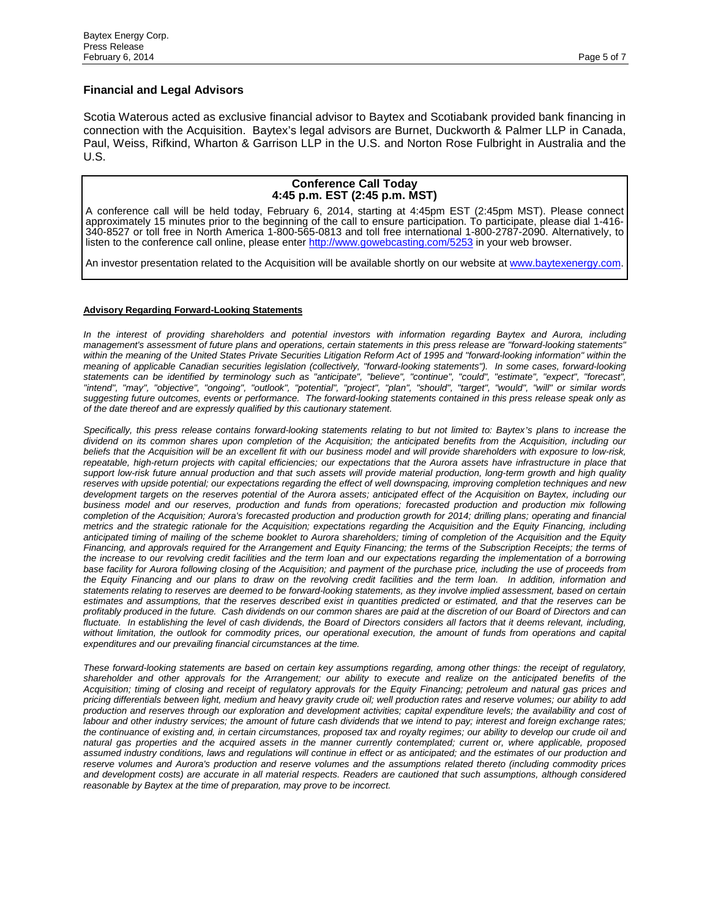## **Financial and Legal Advisors**

Scotia Waterous acted as exclusive financial advisor to Baytex and Scotiabank provided bank financing in connection with the Acquisition. Baytex's legal advisors are Burnet, Duckworth & Palmer LLP in Canada, Paul, Weiss, Rifkind, Wharton & Garrison LLP in the U.S. and Norton Rose Fulbright in Australia and the U.S.

#### **Conference Call Today 4:45 p.m. EST (2:45 p.m. MST)**

A conference call will be held today, February 6, 2014, starting at 4:45pm EST (2:45pm MST). Please connect approximately 15 minutes prior to the beginning of the call to ensure participation. To participate, please dial 1-416-<br>340-8527 or toll free in North America 1-800-565-0813 and toll free international 1-800-2787-2090. Alt listen to the conference call online, please enter<http://www.gowebcasting.com/5253> in your web browser.

An investor presentation related to the Acquisition will be available shortly on our website at [www.baytexe](http://www.baytex/)nergy.com.

#### **Advisory Regarding Forward-Looking Statements**

*In the interest of providing shareholders and potential investors with information regarding Baytex and Aurora, including management's assessment of future plans and operations, certain statements in this press release are "forward-looking statements"*  within the meaning of the United States Private Securities Litigation Reform Act of 1995 and "forward-looking information" within the *meaning of applicable Canadian securities legislation (collectively, "forward-looking statements"). In some cases, forward-looking statements can be identified by terminology such as "anticipate", "believe", "continue", "could", "estimate", "expect", "forecast", "intend", "may", "objective", "ongoing", "outlook", "potential", "project", "plan", "should", "target", "would", "will" or similar words suggesting future outcomes, events or performance. The forward-looking statements contained in this press release speak only as of the date thereof and are expressly qualified by this cautionary statement.*

*Specifically, this press release contains forward-looking statements relating to but not limited to: Baytex's plans to increase the dividend on its common shares upon completion of the Acquisition; the anticipated benefits from the Acquisition, including our beliefs that the Acquisition will be an excellent fit with our business model and will provide shareholders with exposure to low-risk, repeatable, high-return projects with capital efficiencies; our expectations that the Aurora assets have infrastructure in place that support low-risk future annual production and that such assets will provide material production, long-term growth and high quality reserves with upside potential; our expectations regarding the effect of well downspacing, improving completion techniques and new development targets on the reserves potential of the Aurora assets; anticipated effect of the Acquisition on Baytex, including our business model and our reserves, production and funds from operations; forecasted production and production mix following completion of the Acquisition; Aurora's forecasted production and production growth for 2014; drilling plans; operating and financial metrics and the strategic rationale for the Acquisition; expectations regarding the Acquisition and the Equity Financing, including anticipated timing of mailing of the scheme booklet to Aurora shareholders; timing of completion of the Acquisition and the Equity*  Financing, and approvals required for the Arrangement and Equity Financing; the terms of the Subscription Receipts; the terms of *the increase to our revolving credit facilities and the term loan and our expectations regarding the implementation of a borrowing base facility for Aurora following closing of the Acquisition; and payment of the purchase price, including the use of proceeds from the Equity Financing and our plans to draw on the revolving credit facilities and the term loan. In addition, information and statements relating to reserves are deemed to be forward-looking statements, as they involve implied assessment, based on certain estimates and assumptions, that the reserves described exist in quantities predicted or estimated, and that the reserves can be profitably produced in the future. Cash dividends on our common shares are paid at the discretion of our Board of Directors and can fluctuate. In establishing the level of cash dividends, the Board of Directors considers all factors that it deems relevant, including, without limitation, the outlook for commodity prices, our operational execution, the amount of funds from operations and capital expenditures and our prevailing financial circumstances at the time.*

*These forward-looking statements are based on certain key assumptions regarding, among other things: the receipt of regulatory, shareholder and other approvals for the Arrangement; our ability to execute and realize on the anticipated benefits of the Acquisition; timing of closing and receipt of regulatory approvals for the Equity Financing; petroleum and natural gas prices and pricing differentials between light, medium and heavy gravity crude oil; well production rates and reserve volumes; our ability to add production and reserves through our exploration and development activities; capital expenditure levels; the availability and cost of labour and other industry services; the amount of future cash dividends that we intend to pay; interest and foreign exchange rates; the continuance of existing and, in certain circumstances, proposed tax and royalty regimes; our ability to develop our crude oil and natural gas properties and the acquired assets in the manner currently contemplated; current or, where applicable, proposed assumed industry conditions, laws and regulations will continue in effect or as anticipated; and the estimates of our production and reserve volumes and Aurora's production and reserve volumes and the assumptions related thereto (including commodity prices*  and development costs) are accurate in all material respects. Readers are cautioned that such assumptions, although considered *reasonable by Baytex at the time of preparation, may prove to be incorrect.*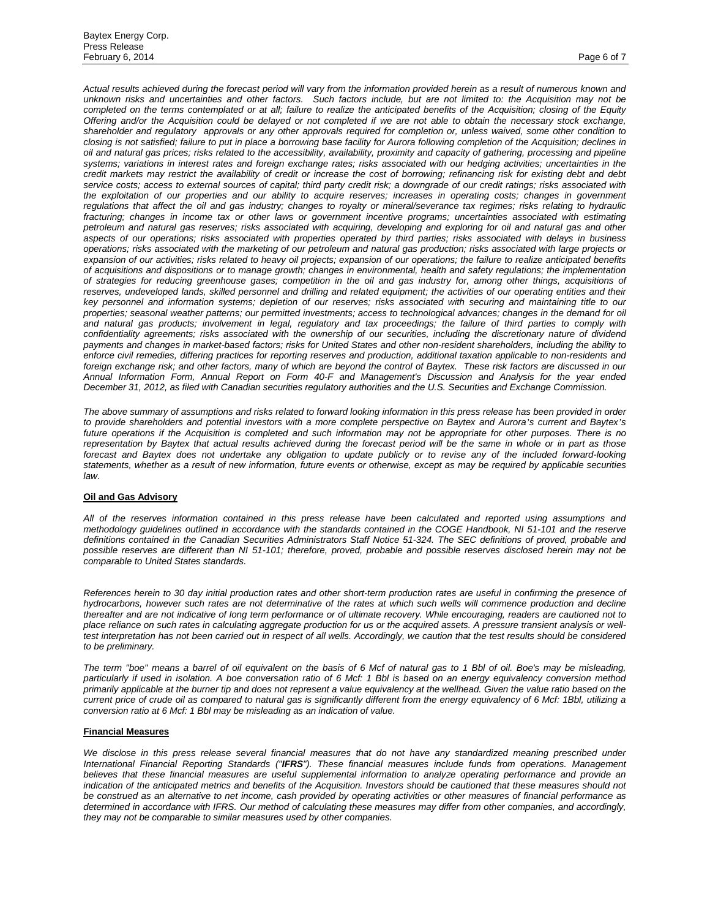*Actual results achieved during the forecast period will vary from the information provided herein as a result of numerous known and unknown risks and uncertainties and other factors. Such factors include, but are not limited to: the Acquisition may not be completed on the terms contemplated or at all; failure to realize the anticipated benefits of the Acquisition; closing of the Equity Offering and/or the Acquisition could be delayed or not completed if we are not able to obtain the necessary stock exchange, shareholder and regulatory approvals or any other approvals required for completion or, unless waived, some other condition to*  closing is not satisfied; failure to put in place a borrowing base facility for Aurora following completion of the Acquisition; declines in *oil and natural gas prices; risks related to the accessibility, availability, proximity and capacity of gathering, processing and pipeline systems; variations in interest rates and foreign exchange rates; risks associated with our hedging activities; uncertainties in the credit markets may restrict the availability of credit or increase the cost of borrowing; refinancing risk for existing debt and debt service costs; access to external sources of capital; third party credit risk; a downgrade of our credit ratings; risks associated with the exploitation of our properties and our ability to acquire reserves; increases in operating costs; changes in government regulations that affect the oil and gas industry; changes to royalty or mineral/severance tax regimes; risks relating to hydraulic*  fracturing; changes in income tax or other laws or government incentive programs; uncertainties associated with estimating *petroleum and natural gas reserves; risks associated with acquiring, developing and exploring for oil and natural gas and other aspects of our operations; risks associated with properties operated by third parties; risks associated with delays in business operations; risks associated with the marketing of our petroleum and natural gas production; risks associated with large projects or expansion of our activities; risks related to heavy oil projects; expansion of our operations; the failure to realize anticipated benefits of acquisitions and dispositions or to manage growth; changes in environmental, health and safety regulations; the implementation of strategies for reducing greenhouse gases; competition in the oil and gas industry for, among other things, acquisitions of reserves, undeveloped lands, skilled personnel and drilling and related equipment; the activities of our operating entities and their key personnel and information systems; depletion of our reserves; risks associated with securing and maintaining title to our properties; seasonal weather patterns; our permitted investments; access to technological advances; changes in the demand for oil and natural gas products; involvement in legal, regulatory and tax proceedings; the failure of third parties to comply with confidentiality agreements; risks associated with the ownership of our securities, including the discretionary nature of dividend payments and changes in market-based factors; risks for United States and other non-resident shareholders, including the ability to*  enforce civil remedies, differing practices for reporting reserves and production, additional taxation applicable to non-residents and *foreign exchange risk; and other factors, many of which are beyond the control of Baytex. These risk factors are discussed in our Annual Information Form, Annual Report on Form 40-F and Management's Discussion and Analysis for the year ended December 31, 2012, as filed with Canadian securities regulatory authorities and the U.S. Securities and Exchange Commission.*

*The above summary of assumptions and risks related to forward looking information in this press release has been provided in order to provide shareholders and potential investors with a more complete perspective on Baytex and Aurora's current and Baytex's future operations if the Acquisition is completed and such information may not be appropriate for other purposes. There is no representation by Baytex that actual results achieved during the forecast period will be the same in whole or in part as those forecast and Baytex does not undertake any obligation to update publicly or to revise any of the included forward-looking statements, whether as a result of new information, future events or otherwise, except as may be required by applicable securities law.*

#### **Oil and Gas Advisory**

*All of the reserves information contained in this press release have been calculated and reported using assumptions and methodology guidelines outlined in accordance with the standards contained in the COGE Handbook, NI 51-101 and the reserve definitions contained in the Canadian Securities Administrators Staff Notice 51-324. The SEC definitions of proved, probable and possible reserves are different than NI 51-101; therefore, proved, probable and possible reserves disclosed herein may not be comparable to United States standards.*

*References herein to 30 day initial production rates and other short-term production rates are useful in confirming the presence of hydrocarbons, however such rates are not determinative of the rates at which such wells will commence production and decline thereafter and are not indicative of long term performance or of ultimate recovery. While encouraging, readers are cautioned not to place reliance on such rates in calculating aggregate production for us or the acquired assets. A pressure transient analysis or welltest interpretation has not been carried out in respect of all wells. Accordingly, we caution that the test results should be considered to be preliminary.*

*The term "boe" means a barrel of oil equivalent on the basis of 6 Mcf of natural gas to 1 Bbl of oil. Boe's may be misleading, particularly if used in isolation. A boe conversation ratio of 6 Mcf: 1 Bbl is based on an energy equivalency conversion method primarily applicable at the burner tip and does not represent a value equivalency at the wellhead. Given the value ratio based on the current price of crude oil as compared to natural gas is significantly different from the energy equivalency of 6 Mcf: 1Bbl, utilizing a conversion ratio at 6 Mcf: 1 Bbl may be misleading as an indication of value.*

#### **Financial Measures**

We disclose in this press release several financial measures that do not have any standardized meaning prescribed under *International Financial Reporting Standards ("IFRS"). These financial measures include funds from operations. Management believes that these financial measures are useful supplemental information to analyze operating performance and provide an indication of the anticipated metrics and benefits of the Acquisition. Investors should be cautioned that these measures should not be construed as an alternative to net income, cash provided by operating activities or other measures of financial performance as determined in accordance with IFRS. Our method of calculating these measures may differ from other companies, and accordingly, they may not be comparable to similar measures used by other companies.*